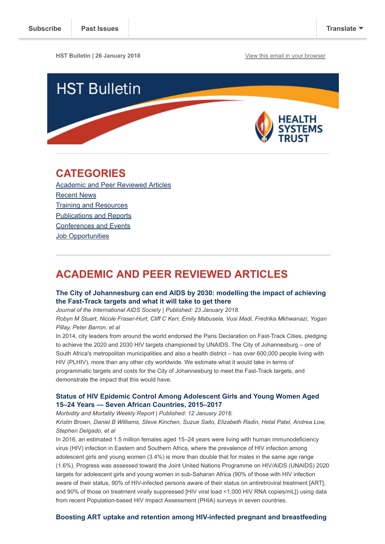**HST Bulletin | 26 January 2018 [View this email in your browser](http://mailchi.mp/c85b8a33193e/hst-bulletin-21-april-506909?e=[UNIQID])** 



# <span id="page-0-1"></span>CATEGORIES

[Academic and Peer Reviewed Articles](#page-0-0) [Recent News](#page-1-0) [Training and Resources](#page-2-0) [Publications and Reports](#page-3-0) [Conferences and Events](#page-3-1) [Job Opportunities](#page-4-0)

# <span id="page-0-0"></span>ACADEMIC AND PEER REVIEWED ARTICLES

# [The City of Johannesburg can end AIDS by 2030: modelling the impact of achieving](http://onlinelibrary.wiley.com/doi/10.1002/jia2.25068/full) the Fast-Track targets and what it will take to get there

Journal of the International AIDS Society | Published: 23 January 2018.

Robyn M Stuart, Nicole Fraser-Hurt, Cliff C Kerr, Emily Mabusela, Vusi Madi, Fredrika Mkhwanazi, Yogan Pillay, Peter Barron, et al

In 2014, city leaders from around the world endorsed the Paris Declaration on Fast-Track Cities, pledging to achieve the 2020 and 2030 HIV targets championed by UNAIDS. The City of Johannesburg – one of South Africa's metropolitan municipalities and also a health district – has over 600,000 people living with HIV (PLHIV), more than any other city worldwide. We estimate what it would take in terms of programmatic targets and costs for the City of Johannesburg to meet the Fast-Track targets, and demonstrate the impact that this would have.

# [Status of HIV Epidemic Control Among Adolescent Girls and Young Women Aged](https://www.cdc.gov/mmwr/volumes/67/wr/mm6701a6.htm?s_cid=mm6701a6_w) 15–24 Years — Seven African Countries, 2015–2017

Morbidity and Mortality Weekly Report | Published: 12 January 2018.

Kristin Brown, Daniel B Williams, Steve Kinchen, Suzue Saito, Elizabeth Radin, Hetal Patel, Andrea Low, Stephen Delgado, et al

In 2016, an estimated 1.5 million females aged 15–24 years were living with human immunodeficiency virus (HIV) infection in Eastern and Southern Africa, where the prevalence of HIV infection among adolescent girls and young women (3.4%) is more than double that for males in the same age range (1.6%). Progress was assessed toward the Joint United Nations Programme on HIV/AIDS (UNAIDS) 2020 targets for adolescent girls and young women in sub-Saharan Africa (90% of those with HIV infection aware of their status, 90% of HIV-infected persons aware of their status on antiretroviral treatment [ART], and 90% of those on treatment virally suppressed [HIV viral load <1,000 HIV RNA copies/mL]) using data from recent Population-based HIV Impact Assessment (PHIA) surveys in seven countries.

# [Boosting ART uptake and retention among HIV-infected pregnant and breastfeeding](http://onlinelibrary.wiley.com/doi/10.1002/jia2.25053/abstract;jsessionid=11A236B95EEA19E389A05C470A63A8D9.f03t04?systemMessage=Please+be+advised+that+we+experienced+an+unexpected+issue+that+occurred+on+Saturday+and+Sunday+January+20th+and+21st+that+caused+the+site+to+be+down+for+an+extended+period+of+time+and+affected+the+ability+of+users+to+access+content+on+Wiley+Online+Library.+This+issue+has+now+been+fully+resolved.++We+apologize+for+any+inconvenience+this+may+have+caused+and+are+working+to+ensure+that+we+can+alert+you+immediately+of+any+unplanned+periods+of+downtime+or+disruption+in+the+future.)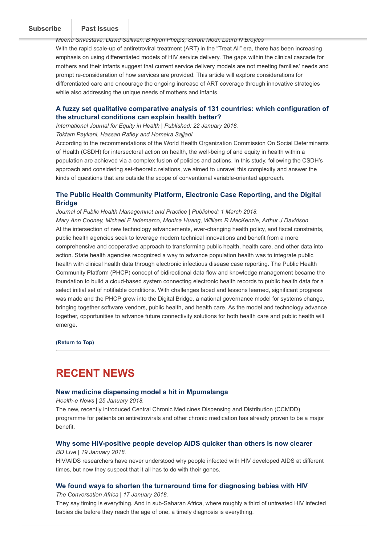#### [women and their infants: the promise of innovative service delivery models](http://onlinelibrary.wiley.com/doi/10.1002/jia2.25053/abstract;jsessionid=11A236B95EEA19E389A05C470A63A8D9.f03t04?systemMessage=Please+be+advised+that+we+experienced+an+unexpected+issue+that+occurred+on+Saturday+and+Sunday+January+20th+and+21st+that+caused+the+site+to+be+down+for+an+extended+period+of+time+and+affected+the+ability+of+users+to+access+content+on+Wiley+Online+Library.+This+issue+has+now+been+fully+resolved.++We+apologize+for+any+inconvenience+this+may+have+caused+and+are+working+to+ensure+that+we+can+alert+you+immediately+of+any+unplanned+periods+of+downtime+or+disruption+in+the+future.). The promise of innovative service  $J_{\rm c}$   $\sim$  T and I issues [Subscribe](http://eepurl.com/cgRQo9) | Past Issues

Meena Srivastava, David Sullivan, B Ryan Phelps, Surbhi Modi, Laura N Broyles With the rapid scale-up of antiretroviral treatment (ART) in the "Treat All" era, there has been increasing emphasis on using differentiated models of HIV service delivery. The gaps within the clinical cascade for mothers and their infants suggest that current service delivery models are not meeting families' needs and prompt re-consideration of how services are provided. This article will explore considerations for differentiated care and encourage the ongoing increase of ART coverage through innovative strategies while also addressing the unique needs of mothers and infants.

# [A fuzzy set qualitative comparative analysis of 131 countries: which configuration of](https://equityhealthj.biomedcentral.com/articles/10.1186/s12939-018-0724-1) the structural conditions can explain health better?

International Journal for Equity in Health | Published: 22 January 2018. Toktam Paykani, Hassan Rafiey and Homeira Sajjadi

According to the recommendations of the World Health Organization Commission On Social Determinants of Health (CSDH) for intersectoral action on health, the well-being of and equity in health within a population are achieved via a complex fusion of policies and actions. In this study, following the CSDH's approach and considering set-theoretic relations, we aimed to unravel this complexity and answer the kinds of questions that are outside the scope of conventional variable-oriented approach.

# [The Public Health Community Platform, Electronic Case Reporting, and the Digital](https://journals.lww.com/jphmp/fulltext/2018/03000/The_Public_Health_Community_Platform,_Electronic.14.aspx) **Bridge**

Journal of Public Health Managemnet and Practice | Published: 1 March 2018. Mary Ann Cooney, Michael F Iademarco, Monica Huang, William R MacKenzie, Arthur J Davidson At the intersection of new technology advancements, ever-changing health policy, and fiscal constraints, public health agencies seek to leverage modern technical innovations and benefit from a more comprehensive and cooperative approach to transforming public health, health care, and other data into action. State health agencies recognized a way to advance population health was to integrate public health with clinical health data through electronic infectious disease case reporting. The Public Health Community Platform (PHCP) concept of bidirectional data flow and knowledge management became the foundation to build a cloud-based system connecting electronic health records to public health data for a select initial set of notifiable conditions. With challenges faced and lessons learned, significant progress was made and the PHCP grew into the Digital Bridge, a national governance model for systems change, bringing together software vendors, public health, and health care. As the model and technology advance together, opportunities to advance future connectivity solutions for both health care and public health will emerge.

[\(Return to Top\)](#page-0-1)

# <span id="page-1-0"></span>RECENT NEWS

# [New medicine dispensing model a hit in Mpumalanga](https://www.health-e.org.za/2018/01/25/new-medicine-dispensing-model-hit-mpumalanga/)

Health-e News | 25 January 2018.

The new, recently introduced Central Chronic Medicines Dispensing and Distribution (CCMDD) programme for patients on antiretrovirals and other chronic medication has already proven to be a major benefit.

### [Why some HIV-positive people develop AIDS quicker than others is now clearer](https://www.businesslive.co.za/bd/national/health/2018-01-19-why-some-hiv-positive-people-develop-aids-quicker-than-others-is-now-clearer/) BD Live | 19 January 2018.

HIV/AIDS researchers have never understood why people infected with HIV developed AIDS at different times, but now they suspect that it all has to do with their genes.

## [We found ways to shorten the turnaround time for diagnosing babies with HIV](https://theconversation.com/we-found-ways-to-shorten-the-turnaround-time-for-diagnosing-babies-with-hiv-89398)

The Conversation Africa | 17 January 2018.

They say timing is everything. And in sub-Saharan Africa, where roughly a third of untreated HIV infected babies die before they reach the age of one, a timely diagnosis is everything.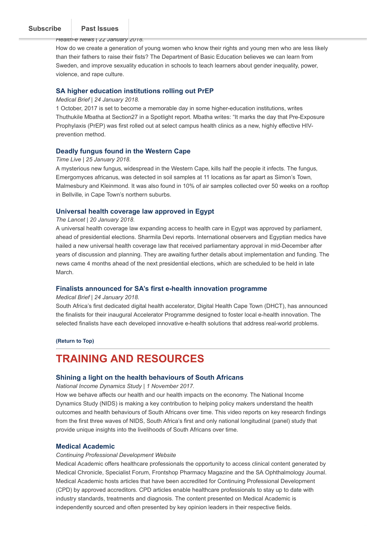# [Subscribe](http://eepurl.com/cgRQo9) Past Issues

Health-e News | 22 January 2018.

How do we create a generation of young women who know their rights and young men who are less likely than their fathers to raise their fists? The Department of Basic Education believes we can learn from Sweden, and improve sexuality education in schools to teach learners about gender inequality, power, violence, and rape culture.

### [SA higher education institutions rolling out PrEP](https://www.medicalbrief.co.za/archives/sa-higher-education-institutions-rolling-prep/)

### Medical Brief | 24 January 2018.

1 October, 2017 is set to become a memorable day in some higher-education institutions, writes Thuthukile Mbatha at Section27 in a Spotlight report. Mbatha writes: "It marks the day that Pre-Exposure Prophylaxis (PrEP) was first rolled out at select campus health clinics as a new, highly effective HIVprevention method.

## [Deadly fungus found in the Western Cape](https://www.timeslive.co.za/news/sci-tech/2018-01-25-deadly-fungus-found-in-the-western-cape/)

#### Time Live | 25 January 2018.

A mysterious new fungus, widespread in the Western Cape, kills half the people it infects. The fungus, Emergomyces africanus, was detected in soil samples at 11 locations as far apart as Simon's Town, Malmesbury and Kleinmond. It was also found in 10% of air samples collected over 50 weeks on a rooftop in Bellville, in Cape Town's northern suburbs.

## [Universal health coverage law approved in Egypt](http://www.thelancet.com/journals/lancet/article/PIIS0140-6736(18)30091-6/fulltext?code=lancet-site)

#### The Lancet | 20 January 2018.

A universal health coverage law expanding access to health care in Egypt was approved by parliament, ahead of presidential elections. Sharmila Devi reports. International observers and Egyptian medics have hailed a new universal health coverage law that received parliamentary approval in mid-December after years of discussion and planning. They are awaiting further details about implementation and funding. The news came 4 months ahead of the next presidential elections, which are scheduled to be held in late March.

## [Finalists announced for SA's first e-health innovation programme](https://www.medicalbrief.co.za/archives/finalists-announced-sas-first-e-health-innovation-programme/)

#### Medical Brief | 24 January 2018.

South Africa's first dedicated digital health accelerator, Digital Health Cape Town (DHCT), has announced the finalists for their inaugural Accelerator Programme designed to foster local e-health innovation. The selected finalists have each developed innovative e-health solutions that address real-world problems.

[\(Return to Top\)](#page-0-1)

# <span id="page-2-0"></span>TRAINING AND RESOURCES

### [Shining a light on the health behaviours of South Africans](https://www.youtube.com/watch?v=NK-SU67kF-g)

National Income Dynamics Study | 1 November 2017.

How we behave affects our health and our health impacts on the economy. The National Income Dynamics Study (NIDS) is making a key contribution to helping policy makers understand the health outcomes and health behaviours of South Africans over time. This video reports on key research findings from the first three waves of NIDS, South Africa's first and only national longitudinal (panel) study that provide unique insights into the livelihoods of South Africans over time.

### [Medical Academic](https://www.medicalacademic.co.za/)

### Continuing Professional Development Website

Medical Academic offers healthcare professionals the opportunity to access clinical content generated by Medical Chronicle, Specialist Forum, Frontshop Pharmacy Magazine and the SA Ophthalmology Journal. Medical Academic hosts articles that have been accredited for Continuing Professional Development (CPD) by approved accreditors. CPD articles enable healthcare professionals to stay up to date with industry standards, treatments and diagnosis. The content presented on Medical Academic is independently sourced and often presented by key opinion leaders in their respective fields.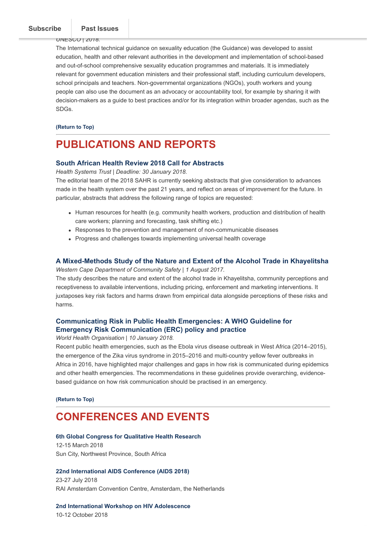$UIVE5UV$ | 2010.

The International technical guidance on sexuality education (the Guidance) was developed to assist education, health and other relevant authorities in the development and implementation of school-based and out-of-school comprehensive sexuality education programmes and materials. It is immediately relevant for government education ministers and their professional staff, including curriculum developers, school principals and teachers. Non-governmental organizations (NGOs), youth workers and young people can also use the document as an advocacy or accountability tool, for example by sharing it with decision-makers as a guide to best practices and/or for its integration within broader agendas, such as the SDGs.

[\(Return to Top\)](#page-0-1)

# <span id="page-3-0"></span>PUBLICATIONS AND REPORTS

### [South African Health Review 2018 Call for Abstracts](http://www.hst.org.za/publications/Pages/SAHR-2018-Call-for-Abstracts.aspx)

Health Systems Trust | Deadline: 30 January 2018.

The editorial team of the 2018 SAHR is currently seeking abstracts that give consideration to advances made in the health system over the past 21 years, and reflect on areas of improvement for the future. In particular, abstracts that address the following range of topics are requested:

- Human resources for health (e.g. community health workers, production and distribution of health care workers; planning and forecasting, task shifting etc.)
- Responses to the prevention and management of non-communicable diseases
- Progress and challenges towards implementing universal health coverage

# [A Mixed-Methods Study of the Nature and Extent of the Alcohol Trade in Khayelitsha](https://www.westerncape.gov.za/assets/departments/community-safety/alcohol_study_-_community_perceptions_to_alcohol_in_khayelitsha.pdf)

Western Cape Department of Community Safety | 1 August 2017.

The study describes the nature and extent of the alcohol trade in Khayelitsha, community perceptions and receptiveness to available interventions, including pricing, enforcement and marketing interventions. It juxtaposes key risk factors and harms drawn from empirical data alongside perceptions of these risks and harms.

# [Communicating Risk in Public Health Emergencies: A WHO Guideline for](http://www.hst.org.za/publications/NonHST%20Publications/Communicating%20Risk%20in%20Public%20Health%20Emergencies.pdf) Emergency Risk Communication (ERC) policy and practice

World Health Organisation | 10 January 2018.

Recent public health emergencies, such as the Ebola virus disease outbreak in West Africa (2014–2015), the emergence of the Zika virus syndrome in 2015–2016 and multi-country yellow fever outbreaks in Africa in 2016, have highlighted major challenges and gaps in how risk is communicated during epidemics and other health emergencies. The recommendations in these guidelines provide overarching, evidencebased guidance on how risk communication should be practised in an emergency.

[\(Return to Top\)](#page-0-1)

# <span id="page-3-1"></span>CONFERENCES AND EVENTS

#### [6th Global Congress for Qualitative Health Research](http://www.africasexuality.org/)

12-15 March 2018 Sun City, Northwest Province, South Africa

### [22nd International AIDS Conference \(AIDS 2018\)](https://www.aids2018.org/)

23-27 July 2018 RAI Amsterdam Convention Centre, Amsterdam, the Netherlands

[2nd International Workshop on HIV Adolescence](http://www.virology-education.com/event/upcoming/2nd-adolescence-workshop/)

10-12 October 2018